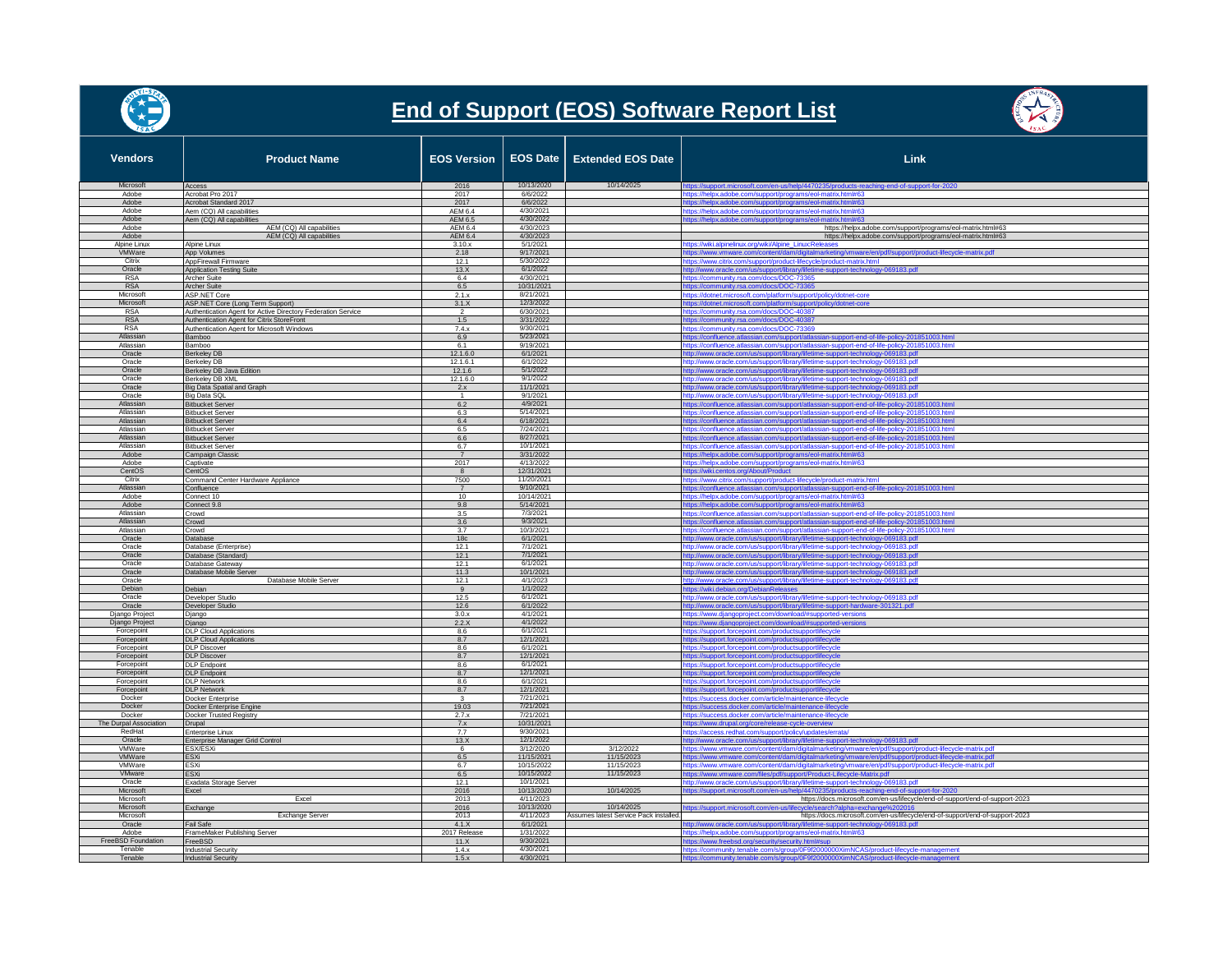

## **End of Support (EOS) Software Report List**



| <b>Vendors</b>                   | <b>Product Name</b>                                                                              | EOS Version   EOS Date    |                          | <b>Extended EOS Date</b>                             | Link                                                                                                                                                                                        |
|----------------------------------|--------------------------------------------------------------------------------------------------|---------------------------|--------------------------|------------------------------------------------------|---------------------------------------------------------------------------------------------------------------------------------------------------------------------------------------------|
| Microsoft<br>Adobe               | Access<br>Acrobat Pro 2017                                                                       | 2016<br>2017              | 10/13/2020<br>6/6/2022   | 10/14/2025                                           | https://support.microsoft.com/en-us/help/4470235/products-reaching-end-of-support-for-2020                                                                                                  |
| Adobe                            | Acrobat Standard 2017                                                                            | 2017                      | 6/6/2022                 |                                                      | https://helpx.adobe.com/support/programs/eol-matrix.html#63<br>https://helpx.adobe.com/support/programs/eol-matrix.html#63                                                                  |
| Adobe                            | Aem (CQ) All capabilities                                                                        | AEM 6.4                   | 4/30/2021                |                                                      | https://helpx.adobe.com/support/programs/eol-matrix.html#63                                                                                                                                 |
| Adobe                            | Aem (CQ) All capabilities                                                                        | AEM 6.5                   | 4/30/2022                |                                                      | https://helpx.adobe.com/support/programs/eol-matrix.html#63                                                                                                                                 |
| Adobe<br>Adobe                   | AEM (CQ) All capabilities<br>AEM (CQ) All capabilities                                           | AFM 6.4<br><b>AEM 6.4</b> | 4/30/2023<br>4/30/2023   |                                                      | https://helpx.adobe.com/support/programs/eol-matrix.html#63<br>https://helpx.adobe.com/support/programs/eol-matrix.html#63                                                                  |
| Alpine Linux                     | Alpine Linux                                                                                     | 3.10.x                    | 5/1/2021                 |                                                      | https://wiki.alpinelinux.org/wiki/Alpine_Linux:Releases                                                                                                                                     |
| VMWare                           | App Volumes                                                                                      | 2.18                      | 9/17/2021                |                                                      | https://www.vmware.com/content/dam/digitalmarketing/vmware/en/pdf/support/product-lifecycle-matrix.pdf                                                                                      |
| Citrix<br>Oracle                 | AppFirewall Firmware<br><b>Application Testing Suite</b>                                         | 12.1<br>13.X              | 5/30/2022<br>6/1/2022    |                                                      | https://www.citrix.com/support/product-lifecycle/product-matrix.html                                                                                                                        |
| <b>RSA</b>                       | <b>Archer Suite</b>                                                                              | 6.4                       | 4/30/2021                |                                                      | http://www.oracle.com/us/support/library/lifetime-support-technology-069183.pdf<br>https://community.rsa.com/docs/DOC-73365                                                                 |
| <b>RSA</b>                       | Archer Suite                                                                                     | 6.5                       | 10/31/2021               |                                                      | https://community.rsa.com/docs/DOC-73365                                                                                                                                                    |
| Microsoft                        | <b>ASP.NET Core</b>                                                                              | 2.1.x                     | 8/21/2021                |                                                      | https://dotnet.microsoft.com/platform/support/policy/dotnet-core                                                                                                                            |
| Microsoft<br><b>RSA</b>          | ASP.NET Core (Long Term Support)<br>Authentication Agent for Active Directory Federation Service | 3.1.X                     | 12/3/2022<br>6/30/2021   |                                                      | https://dotnet.microsoft.com/platform/support/policy/dotnet-core<br>https://community.rsa.com/docs/DOC-40387                                                                                |
| <b>RSA</b>                       | Authentication Agent for Citrix StoreFront                                                       | 1.5                       | 3/31/2022                |                                                      | https://community.rsa.com/docs/DOC-40387                                                                                                                                                    |
| <b>RSA</b>                       | Authentication Agent for Microsoft Windows                                                       | 7.4x                      | 9/30/2021                |                                                      | https://community.rsa.com/docs/DOC-73369                                                                                                                                                    |
| Atlassian<br>Atlassian           | Bamboo                                                                                           | 6.9<br>6.1                | 5/23/2021<br>9/19/2021   |                                                      | ttps://confluence.atlassian.com/support/atlassian-support-end-of-life-policy-201851003.html                                                                                                 |
| Oracle                           | Bamboo<br>Berkeley DB                                                                            | 12.1.6.0                  | 6/1/2021                 |                                                      | https://confluence.atlassian.com/support/atlassian-support-end-of-life-policy-201851003.html<br>http://www.oracle.com/us/support/library/lifetime-support-technology-069183.pdf             |
| Oracle                           | <b>Berkeley DB</b>                                                                               | 12.1.6.1                  | 6/1/2022                 |                                                      | http://www.oracle.com/us/support/library/lifetime-support-technology-069183.pdf                                                                                                             |
| Oracle                           | Berkeley DB Java Edition                                                                         | 12.1.6                    | 5/1/2022                 |                                                      | http://www.oracle.com/us/support/library/lifetime-support-technology-069183.pdf                                                                                                             |
| Oracle<br>Oracle                 | Berkeley DB XML<br>Big Data Spatial and Graph                                                    | 12.1.6.0<br>2.x           | 9/1/2022<br>11/1/2021    |                                                      | http://www.oracle.com/us/support/library/lifetime-support-technology-069183.pdf<br>http://www.oracle.com/us/support/library/lifetime-support-technology-069183.pdf                          |
| Oracle                           | Big Data SQL                                                                                     | $\overline{1}$            | 9/1/2021                 |                                                      | http://www.oracle.com/us/support/library/lifetime-support-technology-069183.pdf                                                                                                             |
| Atlassian                        | <b>Bitbucket Server</b>                                                                          | 6.2                       | 4/9/2021                 |                                                      | https://confluence.atlassian.com/support/atlassian-support-end-of-life-policy-201851003.htm                                                                                                 |
| Atlassian                        | <b>Bitbucket Server</b>                                                                          | 6.3                       | 5/14/2021                |                                                      | https://confluence.atlassian.com/support/atlassian-support-end-of-life-policy-201851003.html                                                                                                |
| Atlassian<br>Atlassian           | <b>Bitbucket Server</b><br><b>Bitbucket Server</b>                                               | 6.4<br>6.5                | 6/18/2021<br>7/24/2021   |                                                      | https://confluence.atlassian.com/support/atlassian-support-end-of-life-policy-201851003.htm<br>https://confluence.atlassian.com/support/atlassian-support-end-of-life-policy-201851003.html |
| Atlassian                        | <b>Bitbucket Server</b>                                                                          | 6.6                       | 8/27/2021                |                                                      | https://confluence.atlassian.com/support/atlassian-support-end-of-life-policy-201851003.ht                                                                                                  |
| Atlassian                        | <b>Bitbucket Server</b>                                                                          | 6.7                       | 10/1/2021                |                                                      | https://confluence.atlassian.com/support/atlassian-support-end-of-life-policy-201851003.html                                                                                                |
| Adobe<br>Adobe                   | Campaign Classic                                                                                 | $\overline{7}$<br>2017    | 3/31/2022<br>4/13/2022   |                                                      | https://helpx.adobe.com/support/programs/eol-matrix.html#63                                                                                                                                 |
| CentOS                           | Captivate<br>CentOS                                                                              | 8                         | 12/31/2021               |                                                      | https://helpx.adobe.com/support/programs/eol-matrix.html#63<br>tps://wiki.centos.org/About/Product                                                                                          |
| Citrix                           | Command Center Hardware Appliance                                                                | 7500                      | 11/20/2021               |                                                      | https://www.citrix.com/support/product-lifecycle/product-matrix.htm                                                                                                                         |
| Atlassian                        | Confluence                                                                                       | $\overline{7}$            | 9/10/2021                |                                                      | https://confluence.atlassian.com/support/atlassian-support-end-of-life-policy-201851003.html                                                                                                |
| Adobe<br>Adobe                   | Connect 10<br>Connect 9.8                                                                        | 10 <sup>1</sup><br>9.8    | 10/14/2021<br>5/14/2021  |                                                      | https://helpx.adobe.com/support/programs/eol-matrix.html#63<br>https://helpx.adobe.com/support/programs/eol-matrix.html#63                                                                  |
| Atlassian                        | Crowd                                                                                            | 3.5                       | 7/3/2021                 |                                                      | https://confluence.atlassian.com/support/atlassian-support-end-of-life-policy-201851003.html                                                                                                |
| Atlassian                        | Crowd                                                                                            | 3.6                       | 9/3/2021                 |                                                      | https://confluence.atlassian.com/support/atlassian-support-end-of-life-policy-201851003.html                                                                                                |
| Atlassian                        | Crowd                                                                                            | 3.7                       | 10/3/2021                |                                                      | https://confluence.atlassian.com/support/atlassian-support-end-of-life-policy-201851003.html                                                                                                |
| Oracle<br>Oracle                 | Database<br>Database (Enterprise)                                                                | 18 <sub>c</sub><br>12.1   | 6/1/2021<br>7/1/2021     |                                                      | http://www.oracle.com/us/support/library/lifetime-support-technology-069183.pdf<br>http://www.oracle.com/us/support/library/lifetime-support-technology-069183.pdf                          |
| Oracle                           | Database (Standard)                                                                              | 12.1                      | 7/1/2021                 |                                                      | http://www.oracle.com/us/support/library/lifetime-support-technology-069183.pdf                                                                                                             |
| Oracle                           | Database Gateway                                                                                 | 12.1                      | 6/1/2021                 |                                                      | http://www.oracle.com/us/support/library/lifetime-support-technology-069183.pdf                                                                                                             |
| Oracle<br>Oracle                 | Database Mobile Server<br>Database Mobile Server                                                 | 11.3<br>12.1              | 10/1/2021<br>4/1/2023    |                                                      | http://www.oracle.com/us/support/library/lifetime-support-technology-069183.pdf<br>http://www.oracle.com/us/support/library/lifetime-support-technology-069183.pdf                          |
| Debian                           | Debian                                                                                           | 9                         | 1/1/2022                 |                                                      | https://wiki.debian.org/DebianReleases                                                                                                                                                      |
| Oracle                           | Developer Studio                                                                                 | 12.5                      | 6/1/2021                 |                                                      | http://www.oracle.com/us/support/library/lifetime-support-technology-069183.pdf                                                                                                             |
| Oracle                           | Developer Studio                                                                                 | 12.6                      | 6/1/2022                 |                                                      | http://www.oracle.com/us/support/library/lifetime-support-hardware-301321.pdf                                                                                                               |
| Django Project<br>Django Project | Django<br>Django                                                                                 | 3.0.x<br>2.2.X            | 4/1/2021<br>4/1/2022     |                                                      | https://www.djangoproject.com/download/#supported-version<br>https://www.djangoproject.com/download/#supported-versions                                                                     |
| Forcepoint                       | <b>DLP Cloud Applications</b>                                                                    | 8.6                       | 6/1/2021                 |                                                      | https://support.forcepoint.com/productsupportlifecycle                                                                                                                                      |
| Forcepoint                       | <b>DLP Cloud Applications</b>                                                                    | 8.7                       | 12/1/2021                |                                                      | https://support.forcepoint.com/productsupportlifecycle                                                                                                                                      |
| Forcepoint<br>Forcepoint         | <b>DLP Discover</b><br><b>DLP Discover</b>                                                       | 8.6<br>8.7                | 6/1/2021<br>12/1/2021    |                                                      | https://support.forcepoint.com/productsupportlifecycle                                                                                                                                      |
| Forcepoint                       | <b>DLP Endpoint</b>                                                                              | 8.6                       | 6/1/2021                 |                                                      | https://support.forcepoint.com/productsupportlifecycle<br>https://support.forcepoint.com/productsupportlifecycle                                                                            |
| Forcepoint                       | <b>DLP Endpoint</b>                                                                              | 8.7                       | 12/1/2021                |                                                      | https://support.forcepoint.com/productsupportlifecycle                                                                                                                                      |
| Forcepoint                       | <b>DLP Network</b>                                                                               | 8.6                       | 6/1/2021                 |                                                      | https://support.forcepoint.com/productsupportlifecycle                                                                                                                                      |
| Forcepoint<br>Docker             | <b>DLP Network</b><br>Docker Enterprise                                                          | 8.7                       | 12/1/2021<br>7/21/2021   |                                                      | https://support.forcepoint.com/productsupportlifecycle<br>https://success.docker.com/article/maintenance-lifecycle                                                                          |
| Docker                           | Docker Enterprise Engine                                                                         | 19.03                     | 7/21/2021                |                                                      | https://success.docker.com/article/maintenance-lifecycle                                                                                                                                    |
| Docker                           | Docker Trusted Registry                                                                          | 2.7.x                     | 7/21/2021                |                                                      | https://success.docker.com/article/maintenance-lifecycle                                                                                                                                    |
| The Durpal Association<br>RedHat | Drupal                                                                                           | 7.x                       | 10/31/2021<br>9/30/2021  |                                                      | https://www.drupal.org/core/release-cycle-overview                                                                                                                                          |
| Oracle                           | Enterprise Linux<br>Enterprise Manager Grid Control                                              | 7.7<br>13X                | 12/1/2022                |                                                      | nttps://access.redhat.com/support/policy/updates/errata/<br>http://www.oracle.com/us/support/library/lifetime-support-technology-069183.pdf                                                 |
| VMWare                           | ESX/ESXi                                                                                         | 6                         | 3/12/2020                | 3/12/2022                                            | https://www.vmware.com/content/dam/digitalmarketing/vmware/en/pdf/support/product-lifecycle-matrix.pdf                                                                                      |
| VMWare                           | <b>ESXi</b>                                                                                      | 6.5                       | 11/15/2021               | 11/15/2023                                           | https://www.vmware.com/content/dam/digitalmarketing/vmware/en/pdf/support/product-lifecycle-matrix.pdf                                                                                      |
| VMWare<br>VMware                 | ESXi<br>ESXi                                                                                     | 6.7<br>6.5                | 10/15/2022<br>10/15/2022 | 11/15/2023<br>11/15/2023                             | https://www.vmware.com/content/dam/digitalmarketing/vmware/en/pdf/support/product-lifecycle-matrix.pdf<br>https://www.vmware.com/files/pdf/support/Product-Lifecycle-Matrix.pdf             |
| Oracle                           | Exadata Storage Server                                                                           | 12.1                      | 10/1/2021                |                                                      | http://www.oracle.com/us/support/library/lifetime-support-technology-069183.pdf                                                                                                             |
| Microsoft                        | Excel                                                                                            | 2016                      | 10/13/2020               | 10/14/2025                                           | https://support.microsoft.com/en-us/help/4470235/products-reaching-end-of-support-for-2020                                                                                                  |
| Microsoft                        | Excel                                                                                            | 2013                      | 4/11/2023                |                                                      | https://docs.microsoft.com/en-us/lifecycle/end-of-support/end-of-support-2023                                                                                                               |
| Microsoft<br>Microsoft           | Exchange<br><b>Exchange Server</b>                                                               | 2016<br>2013              | 10/13/2020<br>4/11/2023  | 10/14/2025<br>Assumes latest Service Pack installed. | ttps://support.microsoft.com/en-us/lifecycle/search?alpha=exchange%202016<br>https://docs.microsoft.com/en-us/lifecycle/end-of-support/end-of-support-2023                                  |
| Oracle                           | Fail Safe                                                                                        | 4.1.X                     | 6/1/2021                 |                                                      | ttp://www.oracle.com/us/support/library/lifetime-support-technology-069183.pdf                                                                                                              |
| Adobe                            | FrameMaker Publishing Server                                                                     | 2017 Releas               | 1/31/2022                |                                                      | ttps://helpx.adobe.com/support/programs/eol-matrix.html#63                                                                                                                                  |
| FreeBSD Foundation<br>Tenable    | FreeBSD<br><b>Industrial Security</b>                                                            | 11.X<br>1.4.x             | 9/30/2021<br>4/30/2021   |                                                      | https://www.freebsd.org/security/security.html#sup                                                                                                                                          |
| Tenable                          | <b>Industrial Security</b>                                                                       | 1.5.x                     | 4/30/2021                |                                                      | https://community.tenable.com/s/group/0F9f2000000XimNCAS/product-lifecycle-management<br>https://community.tenable.com/s/group/0F9f2000000XimNCAS/product-lifecycle-management              |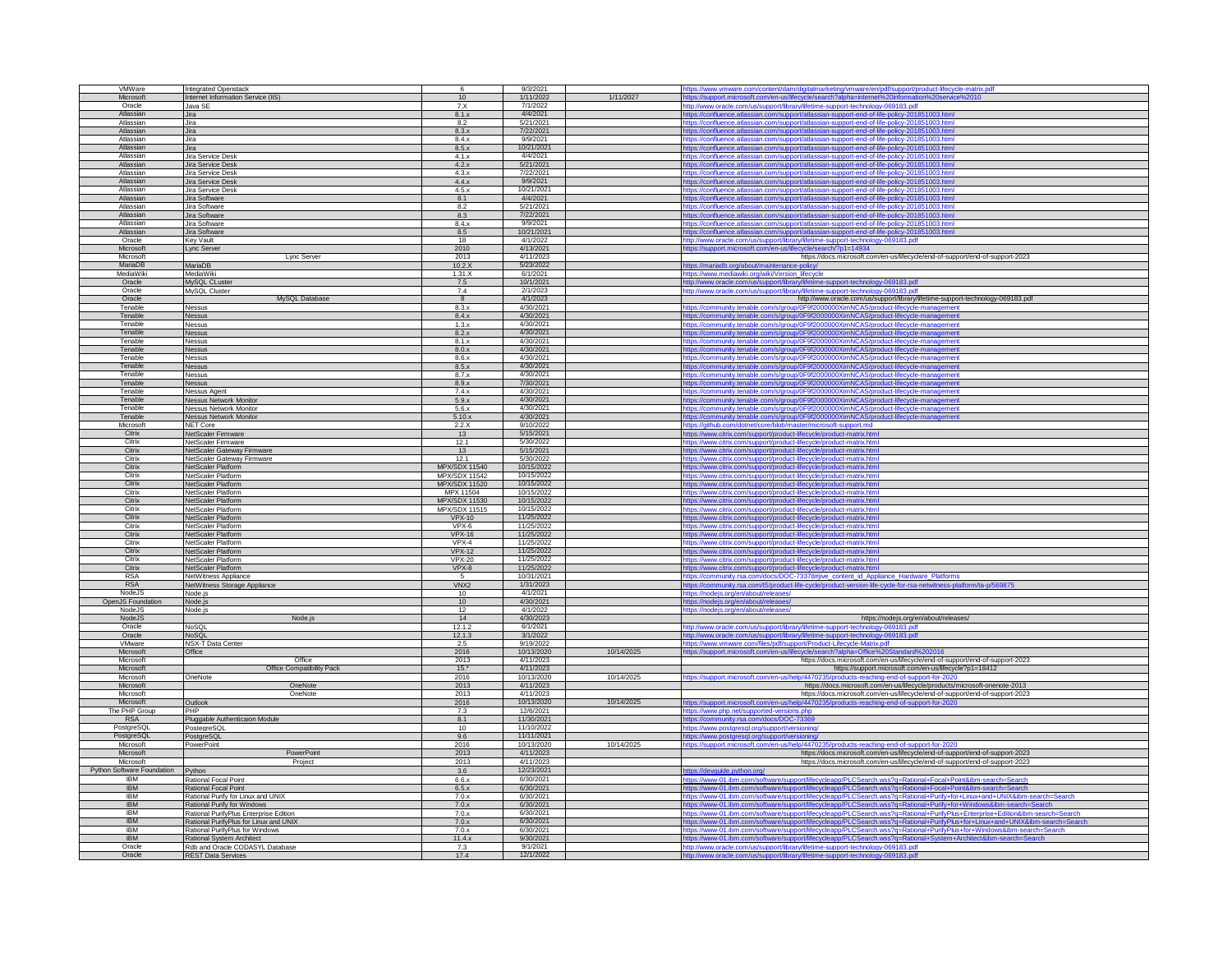| VMWare                     |                                                              |                      | 9/3/2021              |            |                                                                                                                                                                    |
|----------------------------|--------------------------------------------------------------|----------------------|-----------------------|------------|--------------------------------------------------------------------------------------------------------------------------------------------------------------------|
|                            | Integrated Openstack                                         |                      |                       |            | https://www.vmware.com/content/dam/digitalmarketing/vmware/en/pdf/support/product-lifecycle-matrix.pdf                                                             |
| Microsoft                  | Internet Information Service (IIS)                           | 10                   | 1/11/2022             | 1/11/2027  | https://support.microsoft.com/en-us/lifecycle/search?alpha=internet%20information%20service%2010                                                                   |
| Oracle                     | Java SE                                                      | 7. X                 | 7/1/2022              |            | http://www.oracle.com/us/support/library/lifetime-support-technology-069183.pdf                                                                                    |
|                            |                                                              |                      |                       |            |                                                                                                                                                                    |
| Atlassian                  | Jira                                                         | 8.1.x                | 4/4/2021              |            | https://confluence.atlassian.com/support/atlassian-support-end-of-life-policy-201851003.html                                                                       |
| Atlassian                  | Jira                                                         | 8.2                  | 5/21/2021             |            | https://confluence.atlassian.com/support/atlassian-support-end-of-life-policy-201851003.html                                                                       |
| Atlassian                  | Jira                                                         | 8.3.x                | 7/22/2021             |            | https://confluence.atlassian.com/support/atlassian-support-end-of-life-policy-201851003.html                                                                       |
| Atlassian                  | Jira                                                         | 8.4.x                | 9/9/2021              |            | https://confluence.atlassian.com/support/atlassian-support-end-of-life-policy-201851003.html                                                                       |
|                            |                                                              |                      |                       |            |                                                                                                                                                                    |
| Atlassian                  | Jira                                                         | 8.5.x                | 10/21/2021            |            | https://confluence.atlassian.com/support/atlassian-support-end-of-life-policy-201851003.html                                                                       |
| Atlassian                  | Jira Service Desk                                            | 4.1.x                | 4/4/2021              |            | https://confluence.atlassian.com/support/atlassian-support-end-of-life-policy-201851003.htm                                                                        |
| Atlassian                  | Jira Service Desk                                            | $4.2 \times$         | 5/21/2021             |            | https://confluence.atlassian.com/support/atlassian-support-end-of-life-policy-201851003.html                                                                       |
| Atlassian                  | Jira Service Desk                                            | 4.3.x                | 7/22/2021             |            |                                                                                                                                                                    |
|                            |                                                              |                      |                       |            | https://confluence.atlassian.com/support/atlassian-support-end-of-life-policy-201851003.html                                                                       |
| Atlassian                  | Jira Service Desk                                            | 4.4.x                | 9/9/2021              |            | https://confluence.atlassian.com/support/atlassian-support-end-of-life-policy-201851003.html                                                                       |
| Atlassian                  | Jira Service Desk                                            | 4.5.x                | 10/21/2021            |            | tps://confluence.atlassian.com/support/atlassian-support-end-of-life-policy-201851003                                                                              |
| Atlassian                  | Jira Software                                                | 8.1                  | 4/4/2021              |            |                                                                                                                                                                    |
|                            |                                                              |                      |                       |            | https://confluence.atlassian.com/support/atlassian-support-end-of-life-policy-201851003.html                                                                       |
| Atlassian                  | Jira Software                                                | 8.2                  | 5/21/2021             |            | https://confluence.atlassian.com/support/atlassian-support-end-of-life-policy-201851003.html                                                                       |
| Atlassian                  | Jira Software                                                | 8.3                  | 7/22/2021             |            | https://confluence.atlassian.com/support/atlassian-support-end-of-life-policy-201851003.html                                                                       |
| Atlassian                  | Jira Software                                                | 8.4.x                | 9/9/2021              |            | https://confluence.atlassian.com/support/atlassian-support-end-of-life-policy-201851003.htm                                                                        |
| Atlassian                  |                                                              |                      | 10/21/2021            |            |                                                                                                                                                                    |
|                            | Jira Software                                                | 8.5                  |                       |            | https://confluence.atlassian.com/support/atlassian-support-end-of-life-policy-201851003.html                                                                       |
| Oracle                     | Key Vault                                                    | 18                   | 4/1/2022              |            | http://www.oracle.com/us/support/library/lifetime-support-technology-069183.pdf                                                                                    |
| Microsoft                  | Lync Server                                                  | 2010                 | 4/13/2021             |            | https://support.microsoft.com/en-us/lifecycle/search/?p1=14934                                                                                                     |
| Microsoft                  | Lync Server                                                  | 2013                 | 4/11/2023             |            | https://docs.microsoft.com/en-us/lifecycle/end-of-support/end-of-support-2023                                                                                      |
|                            |                                                              |                      |                       |            |                                                                                                                                                                    |
| MariaDB                    | MariaDB                                                      | 10.2.X               | 5/23/2022             |            | https://mariadb.org/about/maintenance-policy/                                                                                                                      |
| MediaWiki                  | MediaWiki                                                    | 1.31.X               | 6/1/2021              |            | https://www.mediawiki.org/wiki/Version_lifecycle                                                                                                                   |
| Oracle                     | MySQL CLuster                                                | 7.5                  | 10/1/2021             |            | http://www.oracle.com/us/support/library/lifetime-support-technology-069183.pdf                                                                                    |
| Oracle                     | MySQL Cluster                                                | 7.4                  | 2/1/2023              |            | http://www.oracle.com/us/support/library/lifetime-support-technology-069183.pdf                                                                                    |
|                            |                                                              |                      |                       |            |                                                                                                                                                                    |
| Oracle                     | MySQL Database                                               | 8                    | 4/1/2023              |            | http://www.oracle.com/us/support/library/lifetime-support-technology-069183.pdf                                                                                    |
| Tenable                    | Nessus                                                       | 8.3.x                | 4/30/2021             |            | https://community.tenable.com/s/group/0F9f2000000XimNCAS/product-lifecycle-management                                                                              |
| Tenable                    | Nessus                                                       | 8.4.x                | 4/30/2021             |            | https://community.tenable.com/s/group/0F9f2000000XimNCAS/product-lifecycle-management                                                                              |
| Tenable                    | Nessus                                                       | 1.3.x                | 4/30/2021             |            | https://community.tenable.com/s/group/0F9f2000000XimNCAS/product-lifecycle-management                                                                              |
|                            |                                                              |                      |                       |            |                                                                                                                                                                    |
| Tenable                    | <b>Nessus</b>                                                | 8.2.x                | 4/30/2021             |            | https://community.tenable.com/s/group/0F9f2000000XimNCAS/product-lifecycle-management                                                                              |
| Tenable                    | <b>Nessus</b>                                                | 8.1.x                | 4/30/2021             |            | https://community.tenable.com/s/group/0F9f2000000XimNCAS/product-lifecycle-management                                                                              |
| Tenable                    | Nessus                                                       | 8.0.x                | 4/30/2021             |            | https://community.tenable.com/s/group/0F9f2000000XimNCAS/product-lifecycle-management                                                                              |
| Tenable                    |                                                              |                      | 4/30/2021             |            |                                                                                                                                                                    |
|                            | Nessus                                                       | 8.6.x                |                       |            | https://community.tenable.com/s/group/0F9f2000000XimNCAS/product-lifecycle-management                                                                              |
| Tenable                    | Vessus                                                       | 8.5.x                | 4/30/2021             |            | tps://community.tenable.com/s/group/0F9f2000000XimNCAS/product-lifecycle-management                                                                                |
| Tenable                    | <b>Nessus</b>                                                | 8.7.x                | 4/30/2021             |            | https://community.tenable.com/s/group/0F9f2000000XimNCAS/product-lifecycle-management                                                                              |
| Tenable                    | Nessus                                                       | 8.9.x                | 7/30/2021             |            | https://community.tenable.com/s/group/0F9f2000000XimNCAS/product-lifecycle-management                                                                              |
| Tenable                    |                                                              |                      | 4/30/2021             |            |                                                                                                                                                                    |
|                            | Nessus Agent                                                 | 7.4.x                |                       |            | https://community.tenable.com/s/group/0F9f2000000XimNCAS/product-life                                                                                              |
| Tenable                    | <b>Nessus Network Monitor</b>                                | 5.9.x                | 4/30/2021             |            | https://community.tenable.com/s/group/0F9f2000000XimNCAS/product-lifecycle-management                                                                              |
| Tenable                    | <b>Nessus Network Monitor</b>                                | 5.6.x                | 4/30/2021             |            | https://community.tenable.com/s/group/0F9f2000000XimNCAS/product-lifecycle-management                                                                              |
| Tenable                    | <b>Nessus Network Monitor</b>                                | 5.10.x               | 4/30/2021             |            | https://community.tenable.com/s/group/0F9f2000000XimNCAS/product-life                                                                                              |
| Microsoft                  |                                                              | 2.2.X                | 9/10/2022             |            | https://github.com/dotnet/core/blob/master/microsoft-support.md                                                                                                    |
|                            | NET Core                                                     |                      |                       |            |                                                                                                                                                                    |
| Citrix                     | NetScaler Firmware                                           | 13                   | 5/15/2021             |            | ttps://www.citrix.com/support/product-lifecycle/product-matrix.html                                                                                                |
| Citrix                     | NetScaler Firmware                                           | 12.1                 | 5/30/2022             |            | https://www.citrix.com/support/product-lifecycle/product-matrix.html                                                                                               |
| Citrix                     | NetScaler Gateway Firmware                                   | 13                   | 5/15/2021             |            | https://www.citrix.com/support/product-lifecycle/product-matrix.html                                                                                               |
| Citrix                     |                                                              | 12.1                 | 5/30/2022             |            |                                                                                                                                                                    |
|                            | NetScaler Gateway Firmware                                   |                      |                       |            | https://www.citrix.com/support/product-lifecycle/product-matrix.html                                                                                               |
| Citrix                     | NetScaler Platform                                           | <b>MPX/SDX 11540</b> | 10/15/2022            |            |                                                                                                                                                                    |
|                            |                                                              |                      |                       |            | ttps://www.citrix.com/support/product-lifecycle/product-matrix.html                                                                                                |
| Citrix                     | NetScaler Platform                                           |                      | 10/15/2022            |            |                                                                                                                                                                    |
|                            |                                                              | MPX/SDX 11542        |                       |            | ttps://www.citrix.com/support/product-lifecycle/product-matrix.html                                                                                                |
| Citrix                     | NetScaler Platform                                           | MPX/SDX 11520        | 10/15/2022            |            | https://www.citrix.com/support/product-lifecycle/product-matrix.html                                                                                               |
| Citrix                     | NetScaler Platform                                           | MPX 11504            | 10/15/2022            |            | https://www.citrix.com/support/product-lifecycle/product-matrix.html                                                                                               |
| Citrix                     | <b>VetScaler Platform</b>                                    | <b>MPX/SDX 11530</b> | 10/15/2022            |            | https://www.citrix.com/support/product-lifecycle/product-matrix.html                                                                                               |
| Citrix                     | NetScaler Platform                                           | MPX/SDX 11515        | 10/15/2022            |            | https://www.citrix.com/support/product-lifecycle/product-matrix.html                                                                                               |
| Citrix                     |                                                              |                      |                       |            |                                                                                                                                                                    |
|                            | NetScaler Platform                                           | $VPX-10$             | 11/25/2022            |            | https://www.citrix.com/support/product-lifecycle/product-matrix.html                                                                                               |
| Citrix                     | NetScaler Platform                                           | VPX-6                | 11/25/2022            |            | https://www.citrix.com/support/product-lifecycle/product-matrix.html                                                                                               |
| Citrix                     | NetScaler Platform                                           | <b>VPX-16</b>        | 11/25/2022            |            | https://www.citrix.com/support/product-lifecycle/product-matrix.html                                                                                               |
| Citrix                     | NetScaler Platform                                           | $VPX-4$              | 11/25/2022            |            |                                                                                                                                                                    |
| Citrix                     | NetScaler Platform                                           | $VPX-12$             | 11/25/2022            |            | https://www.citrix.com/support/product-lifecycle/product-matrix.html                                                                                               |
|                            |                                                              |                      |                       |            | https://www.citrix.com/support/product-lifecycle/product-matrix.html                                                                                               |
| Citrix                     | NetScaler Platform                                           | <b>VPX-20</b>        | 11/25/2022            |            | https://www.citrix.com/support/product-lifecycle/product-matrix.html                                                                                               |
| Citrix                     | NetScaler Platform                                           | $VPX-8$              | 11/25/2022            |            | https://www.citrix.com/support/product-lifecycle/product-matrix.html                                                                                               |
| <b>RSA</b>                 | NetWitness Appliance                                         |                      | 10/31/2021            |            | https://community.rsa.com/docs/DOC-73378#jive_content_id_Appliance_Hardware_Platforms                                                                              |
| <b>RSA</b>                 |                                                              | VNX <sub>2</sub>     | 1/31/2023             |            |                                                                                                                                                                    |
|                            | NetWitness Storage Appliance                                 |                      |                       |            | https://community.rsa.com/t5/product-life-cycle/product-version-life-cycle-for-rsa-netwitness-platform/ta-p/569875                                                 |
| Node IS                    | Node.is                                                      | 10 <sup>1</sup>      | 4/1/2021              |            | https://nodejs.org/en/about/releases/                                                                                                                              |
| OpenJS Foundation          | Node.js                                                      | 10                   | 4/30/2021             |            | https://nodejs.org/en/about/releases/                                                                                                                              |
| NodeJS                     | Node.js                                                      | 12                   | 4/1/2022              |            | https://nodejs.org/en/about/releases/                                                                                                                              |
| NodeJS                     | Node.js                                                      | 14                   | 4/30/2023             |            | https://nodejs.org/en/about/releases/                                                                                                                              |
| Oracle                     | <b>NoSOI</b>                                                 |                      | 6/1/2021              |            |                                                                                                                                                                    |
|                            |                                                              | 12.1.2               |                       |            | http://www.oracle.com/us/support/library/lifetime-support-technology-069183.pdf                                                                                    |
| Oracle                     | NoSQL                                                        | 12.1.3               | 3/1/2022              |            | http://www.oracle.com/us/support/library/lifetime-support-technology-069183.pdf                                                                                    |
| VMware                     | NSX-T Data Center                                            | 2.5                  | 9/19/2022             |            | https://www.vmware.com/files/pdf/support/Product-Lifecycle-Matrix.pdf                                                                                              |
| Microsoft                  | Office                                                       | 2016                 | 10/13/2020            | 10/14/2025 | https://support.microsoft.com/en-us/lifecycle/search?alpha=Office%20Standard%202016                                                                                |
| Microsoft                  | Office                                                       | 2013                 | 4/11/2023             |            |                                                                                                                                                                    |
| Microsoft                  |                                                              | $15.$ *              | 4/11/2023             |            | https://docs.microsoft.com/en-us/lifecycle/end-of-support/end-of-support-2023                                                                                      |
|                            | Office Compatibility Pack                                    |                      |                       |            | https://support.microsoft.com/en-us/lifecycle?p1=18412                                                                                                             |
| Microsoft                  | OneNote                                                      | 2016                 | 10/13/2020            | 10/14/2025 | https://support.microsoft.com/en-us/help/4470235/products-reaching-end-of-support-for-20                                                                           |
| Microsoft                  | OneNote                                                      | 2013                 | 4/11/2023             |            | https://docs.microsoft.com/en-us/lifecycle/products/microsoft-onenote-2013                                                                                         |
| Microsoft                  | OneNote                                                      | 2013                 | 4/11/2023             |            | https://docs.microsoft.com/en-us/lifecycle/end-of-support/end-of-support-2023                                                                                      |
| Microsoft                  |                                                              |                      | 10/13/2020            | 10/14/2025 |                                                                                                                                                                    |
|                            | Outlook                                                      | 2016                 |                       |            | https://support.microsoft.com/en-us/help/4470235/products-reaching-end-of-support-for-20                                                                           |
| The PHP Group              | PHP                                                          | 7.3                  | 12/6/2021             |            | https://www.php.net/supported-versions.php                                                                                                                         |
| <b>RSA</b>                 | Pluggable Authenticaion Module                               | 8.1                  | 11/30/2021            |            | ttps://community.rsa.com/docs/DOC-73369                                                                                                                            |
| PostgreSQL                 | PostegreSQL                                                  | 10 <sup>1</sup>      | 11/10/2022            |            | https://www.postgresql.org/support/versioning/                                                                                                                     |
|                            |                                                              | 9.6                  |                       |            |                                                                                                                                                                    |
| PostgreSQL                 | PostgreSQL                                                   |                      | 11/11/2021            |            | https://www.postgresql.org/support/versioning/                                                                                                                     |
| Microsoft                  | PowerPoint                                                   | 2016                 | 10/13/2020            | 10/14/2025 | https://support.microsoft.com/en-us/help/4470235                                                                                                                   |
| Microsoft                  | PowerPoint                                                   | 2013                 | 4/11/2023             |            | https://docs.microsoft.com/en-us/lifecycle/end-of-support/end-of-support-2023                                                                                      |
| Microsoft                  | Project                                                      | 2013                 | 4/11/2023             |            | https://docs.microsoft.com/en-us/lifecycle/end-of-support/end-of-support-2023                                                                                      |
|                            |                                                              |                      |                       |            |                                                                                                                                                                    |
| Python Software Foundation | Python                                                       | 3.6                  | 12/23/2021            |            | //ttps://devguide.python.org/                                                                                                                                      |
| <b>IBM</b>                 | Rational Focal Point                                         | 6.6.x                | 6/30/2021             |            | https://www-01.ibm.com/software/support/lifecycleapp/PLCSearch.wss?q=Rational+Focal+Point&ibm-search=Search                                                        |
| <b>IBM</b>                 | Rational Focal Point                                         | 6.5.x                | 6/30/2021             |            | https://www-01.ibm.com/software/support/lifecycleapp/PLCSearch.wss?q=Rational+Focal+Point&ibm-search=Search                                                        |
| <b>IRM</b>                 |                                                              | 7.0.x                | 6/30/2021             |            | https://www-01.ibm.com/software/support/lifecycleapp/PLCSearch.wss?g=Rational+Purify+for+Linux+and+UNIX&ibm-s                                                      |
|                            | Rational Purify for Linux and UNIX                           |                      |                       |            |                                                                                                                                                                    |
| <b>IBM</b>                 | Rational Purify for Windows                                  | 7.0.x                | 6/30/2021             |            | https://www-01.ibm.com/software/support/lifecycleapp/PLCSearch.wss?q=Rational+Purify+for+Windows&ibm-search=Search                                                 |
| <b>IBM</b>                 | Rational PurifyPlus Enterprise Edition                       | 7.0.x                | 6/30/2021             |            | https://www-01.ibm.com/software/support/lifecycleapp/PLCSearch.wss?q=Rational+PurifyPlus+Enterprise+Edition&ibm-search=Search                                      |
| <b>IBM</b>                 | Rational PurifyPlus for Linux and UNIX                       | 7.0.x                | 6/30/2021             |            | https://www-01.ibm.com/software/support/lifecycleapp/PLCSearch.wss?q=Rational+PurifyPlus+for+Linux+and+UNIX&ibm-search=Sea                                         |
| <b>IBM</b>                 | Rational PurifyPlus for Windows                              | 7.0.x                | 6/30/2021             |            |                                                                                                                                                                    |
| <b>IBM</b>                 |                                                              | 11.4x                | 9/30/2021             |            | https://www-01.ibm.com/software/support/lifecycleapp/PLCSearch.wss?q=Rational+PurifyPlus+for+Windows&ibm-search=Search                                             |
|                            | Rational System Architect                                    |                      |                       |            | tps://www-01.ibm.com/software/support/lifecycleapp/PLCSearch.wss?q=Rational+S                                                                                      |
| Oracle<br>Oracle           | Rdb and Oracle CODASYL Database<br><b>REST Data Services</b> | 7.3<br>17.4          | 9/1/2021<br>12/1/2022 |            | http://www.oracle.com/us/support/library/lifetime-support-technology-069183.pdf<br>http://www.oracle.com/us/support/library/lifetime-support-technology-069183.pdf |